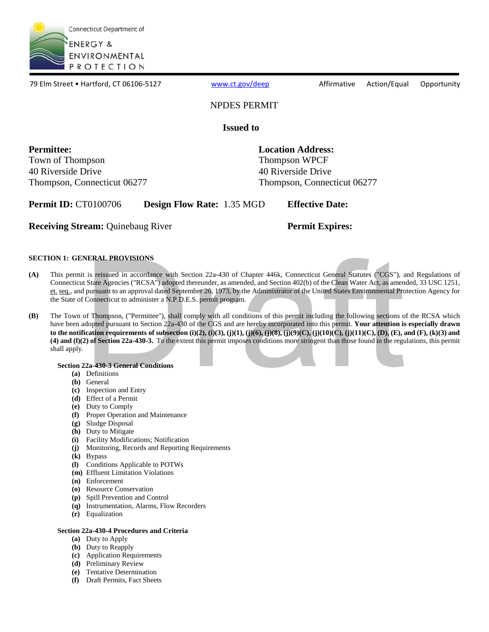

79 Elm Street • Hartford, CT 06106-5127 [www.ct.gov/deep](http://www.ct.gov/deep) Affirmative Action/Equal Opportunity

## NPDES PERMIT

### **Issued to**

**Permittee:** Town of Thompson Thompson Thompson WPCF 40 Riverside Drive 40 Riverside Drive Thompson, Connecticut 06277 Thompson, Connecticut 06277

**Location Address:** 

**Permit ID: CT0100706 Pesign Flow Rate:** 1.35 MGD **Effective Date:** 

**Receiving Stream:** Quinebaug River **Permit Expires:** Permit Expires:<br>SECTION 1: GENERAL PROVISIONS

**Permit Expires:** 

- **(A)** This permit is reissued in accordance with Section 22a-430 of Chapter 446k, Connecticut General Statutes ("CGS"), and Regulations of Connecticut State Agencies ("RCSA") adopted thereunder, as amended, and Section 402(b) of the Clean Water Act, as amended, 33 USC 1251, et. seq., and pursuant to an approval dated September 26, 1973, by the Administrator of the United States Environmental Protection Agency for the State of Connecticut to administer a N.P.D.E.S. permit program.
- **NERAL PROVISIONS**<br>
t is reissued in accordance with Section 22a-430 of Chapter 446k, Connecticut General Statutes ("CGS"), and State Agencies ("RCSA") adopted thereunder, as amended, and Section 402(b) of the Clean Water **(B)** The Town of Thompson, ("Permittee"), shall comply with all conditions of this permit including the following sections of the RCSA which have been adopted pursuant to Section 22a-430 of the CGS and are hereby incorporated into this permit. **Your attention is especially drawn to the notification requirements of subsection (i)(2), (i)(3), (j)(1), (j)(6), (j)(8), (j)(9)(C), (j)(10)(C), (j)(11)(C), (D), (E), and (F), (k)(3) and (4) and (l)(2) of Section 22a-430-3.** To the extent this permit imposes conditions more stringent than those found in the regulations, this permit shall apply.

### **Section 22a-430-3 General Conditions**

- **(a)** Definitions
- **(b)** General
- **(c)** Inspection and Entry
- **(d)** Effect of a Permit
- **(e)** Duty to Comply
- **(f)** Proper Operation and Maintenance
- **(g)** Sludge Disposal
- **(h)** Duty to Mitigate
- **(i)** Facility Modifications; Notification
- **(j)** Monitoring, Records and Reporting Requirements
- **(k)** Bypass
- **(l)** Conditions Applicable to POTWs
- **(m)** Effluent Limitation Violations
- **(n)** Enforcement
- **(o)** Resource Conservation
- **(p)** Spill Prevention and Control
- **(q)** Instrumentation, Alarms, Flow Recorders
- **(r)** Equalization

### **Section 22a-430-4 Procedures and Criteria**

- **(a)** Duty to Apply
- **(b)** Duty to Reapply
- **(c)** Application Requirements
- **(d)** Preliminary Review
- **(e)** Tentative Determination
- **(f)** Draft Permits, Fact Sheets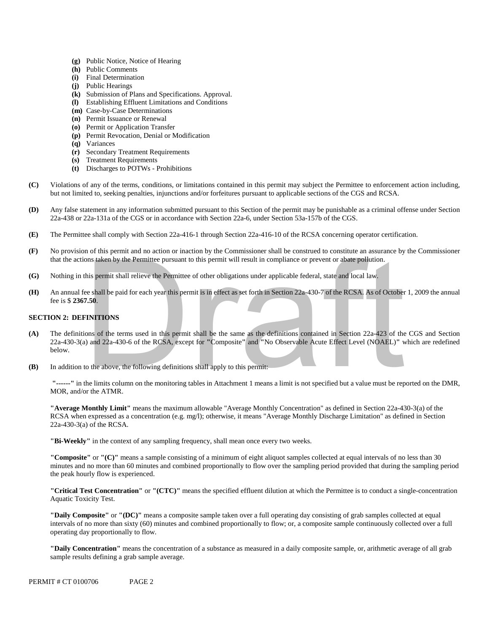- **(g)** Public Notice, Notice of Hearing
- **(h)** Public Comments
- **(i)** Final Determination
- **(j)** Public Hearings
- **(k)** Submission of Plans and Specifications. Approval.
- **(l)** Establishing Effluent Limitations and Conditions
- **(m)** Case-by-Case Determinations
- **(n)** Permit Issuance or Renewal
- **(o)** Permit or Application Transfer
- **(p)** Permit Revocation, Denial or Modification
- **(q)** Variances
- **(r)** Secondary Treatment Requirements
- **(s)** Treatment Requirements
- **(t)** Discharges to POTWs Prohibitions
- **(C)** Violations of any of the terms, conditions, or limitations contained in this permit may subject the Permittee to enforcement action including, but not limited to, seeking penalties, injunctions and/or forfeitures pursuant to applicable sections of the CGS and RCSA.
- **(D)** Any false statement in any information submitted pursuant to this Section of the permit may be punishable as a criminal offense under Section 22a-438 or 22a-131a of the CGS or in accordance with Section 22a-6, under Section 53a-157b of the CGS.
- **(E)** The Permittee shall comply with Section 22a-416-1 through Section 22a-416-10 of the RCSA concerning operator certification.
- that the actions taken by the Permittee pursuant to this permit will result in compliance or prevent or abate pollution. **(F)** No provision of this permit and no action or inaction by the Commissioner shall be construed to constitute an assurance by the Commissioner
- **(G)** Nothing in this permit shall relieve the Permittee of other obligations under applicable federal, state and local law.
- **(H)** An annual fee shall be paid for each year this permit is in effect as set forth in Section 22a-430-7 of the RCSA. As of October 1, 2009 the annual fee is \$ **2367.50**.

### **SECTION 2: DEFINITIONS**

- (A) **(A)** The definitions of the terms used in this permit shall be the same as the definitions contained in Section 22a-423 of the CGS and Section 22a-430-3(a) and 22a-430-6 of the RCSA, except for **"**Composite**"** and **"**No Observable Acute Effect Level (NOAEL)**"** which are redefined below. ions taken by the Permittee pursuant to this permit will result in compliance or prevent or abate pollution.<br>
this permit shall relieve the Permittee of other obligations under applicable federal, state and local law.<br>
iee
- **(B)** In addition to the above, the following definitions shall apply to this permit:

**"------"** in the limits column on the monitoring tables in Attachment 1 means a limit is not specified but a value must be reported on the DMR, MOR, and/or the ATMR.

 **"Average Monthly Limit"** means the maximum allowable "Average Monthly Concentration" as defined in Section 22a-430-3(a) of the RCSA when expressed as a concentration (e.g. mg/l); otherwise, it means "Average Monthly Discharge Limitation" as defined in Section 22a-430-3(a) of the RCSA.

**"Bi-Weekly"** in the context of any sampling frequency, shall mean once every two weeks.

 **"Composite"** or **"(C)"** means a sample consisting of a minimum of eight aliquot samples collected at equal intervals of no less than 30 minutes and no more than 60 minutes and combined proportionally to flow over the sampling period provided that during the sampling period the peak hourly flow is experienced.

**"Critical Test Concentration"** or **"(CTC)"** means the specified effluent dilution at which the Permittee is to conduct a single-concentration Aquatic Toxicity Test.

 intervals of no more than sixty (60) minutes and combined proportionally to flow; or, a composite sample continuously collected over a full **"Daily Composite"** or **"(DC)"** means a composite sample taken over a full operating day consisting of grab samples collected at equal operating day proportionally to flow.

**"Daily Concentration"** means the concentration of a substance as measured in a daily composite sample, or, arithmetic average of all grab sample results defining a grab sample average.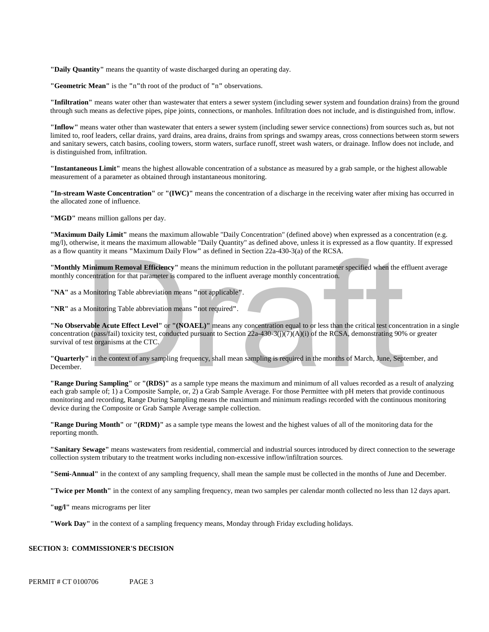**"Daily Quantity"** means the quantity of waste discharged during an operating day.

**"Geometric Mean"** is the **"**n**"**th root of the product of **"**n**"** observations.

**"Infiltration"** means water other than wastewater that enters a sewer system (including sewer system and foundation drains) from the ground through such means as defective pipes, pipe joints, connections, or manholes. Infiltration does not include, and is distinguished from, inflow.

 is distinguished from, infiltration. **"Inflow"** means water other than wastewater that enters a sewer system (including sewer service connections) from sources such as, but not limited to, roof leaders, cellar drains, yard drains, area drains, drains from springs and swampy areas, cross connections between storm sewers and sanitary sewers, catch basins, cooling towers, storm waters, surface runoff, street wash waters, or drainage. Inflow does not include, and

**"Instantaneous Limit"** means the highest allowable concentration of a substance as measured by a grab sample, or the highest allowable measurement of a parameter as obtained through instantaneous monitoring.

**"In-stream Waste Concentration"** or **"(IWC)"** means the concentration of a discharge in the receiving water after mixing has occurred in the allocated zone of influence.

"MGD" means million gallons per day.

 **"Maximum Daily Limit"** means the maximum allowable "Daily Concentration" (defined above) when expressed as a concentration (e.g. mg/l), otherwise, it means the maximum allowable "Daily Quantity" as defined above, unless it is expressed as a flow quantity. If expressed as a flow quantity it means **"**Maximum Daily Flow**"** as defined in Section 22a-430-3(a) of the RCSA.

**"Monthly Minimum Removal Efficiency"** means the minimum reduction in the pollutant parameter specified when the effluent average monthly concentration for that parameter is compared to the influent average monthly concentration.

**"NA"** as a Monitoring Table abbreviation means **"**not applicable**"**.

**"NR"** as a Monitoring Table abbreviation means **"**not required**"**.

**"No Observable Acute Effect Level"** or **"(NOAEL)"** means any concentration equal to or less than the critical test concentration in a single concentration (pass/fail) toxicity test, conducted pursuant to Section 22a-430-3(j)(7)(A)(i) of the RCSA, demonstrating 90% or greater survival of test organisms at the CTC. **Minimum Removal Efficiency**" means the minimum reduction in the pollutant parameter specified when the electration for that parameter is compared to the influent average monthly concentration.<br>
Monitoring Table abbreviati

**"Quarterly"** in the context of any sampling frequency, shall mean sampling is required in the months of March, June, September, and December.

 **"Range During Sampling"** or **"(RDS)"** as a sample type means the maximum and minimum of all values recorded as a result of analyzing each grab sample of; 1) a Composite Sample, or, 2) a Grab Sample Average. For those Permittee with pH meters that provide continuous monitoring and recording, Range During Sampling means the maximum and minimum readings recorded with the continuous monitoring device during the Composite or Grab Sample Average sample collection.

**"Range During Month"** or **"(RDM)"** as a sample type means the lowest and the highest values of all of the monitoring data for the reporting month.

**"Sanitary Sewage"** means wastewaters from residential, commercial and industrial sources introduced by direct connection to the sewerage collection system tributary to the treatment works including non-excessive inflow/infiltration sources.

**"Semi-Annual"** in the context of any sampling frequency, shall mean the sample must be collected in the months of June and December.

**"Twice per Month"** in the context of any sampling frequency, mean two samples per calendar month collected no less than 12 days apart.

**"ug/l"** means micrograms per liter

**"Work Day"** in the context of a sampling frequency means, Monday through Friday excluding holidays.

#### **SECTION 3: COMMISSIONER'S DECISION**

PERMIT # CT 0100706 PAGE 3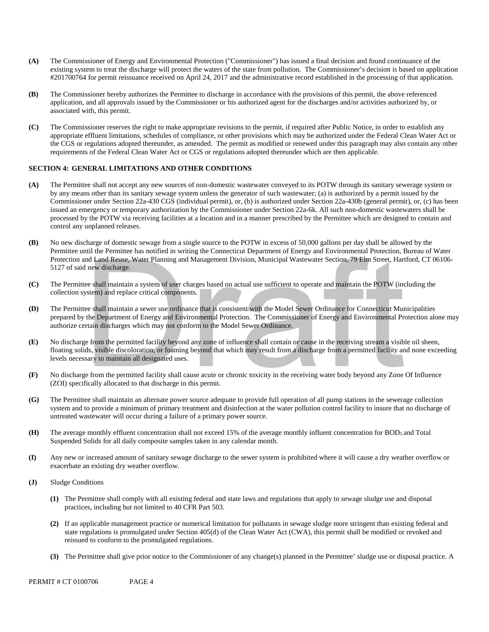- existing system to treat the discharge will protect the waters of the state from pollution. The Commissioner's decision is based on application #201700764 for permit reissuance received on April 24, 2017 and the administrative record established in the processing of that application. **(A)** The Commissioner of Energy and Environmental Protection ("Commissioner") has issued a final decision and found continuance of the
- **(B)** The Commissioner hereby authorizes the Permittee to discharge in accordance with the provisions of this permit, the above referenced associated with, this permit. application, and all approvals issued by the Commissioner or his authorized agent for the discharges and/or activities authorized by, or
- appropriate effluent limitations, schedules of compliance, or other provisions which may be authorized under the Federal Clean Water Act or **(C)** The Commissioner reserves the right to make appropriate revisions to the permit, if required after Public Notice, in order to establish any the CGS or regulations adopted thereunder, as amended. The permit as modified or renewed under this paragraph may also contain any other requirements of the Federal Clean Water Act or CGS or regulations adopted thereunder which are then applicable.

### **SECTION 4: GENERAL LIMITATIONS AND OTHER CONDITIONS**

- **(A)** The Permittee shall not accept any new sources of non-domestic wastewater conveyed to its POTW through its sanitary sewerage system or by any means other than its sanitary sewage system unless the generator of such wastewater; (a) is authorized by a permit issued by the Commissioner under Section 22a-430 CGS (individual permit), or, (b) is authorized under Section 22a-430b (general permit), or, (c) has been issued an emergency or temporary authorization by the Commissioner under Section 22a-6k. All such non-domestic wastewaters shall be processed by the POTW via receiving facilities at a location and in a manner prescribed by the Permittee which are designed to contain and control any unplanned releases.
- **(B)** No new discharge of domestic sewage from a single source to the POTW in excess of 50,000 gallons per day shall be allowed by the Permittee until the Permittee has notified in writing the Connecticut Department of Energy and Environmental Protection, Bureau of Water Protection and Land Reuse, Water Planning and Management Division, Municipal Wastewater Section, 79 Elm Street, Hartford, CT 06106- 5127 of said new discharge.
- **(C)** The Permittee shall maintain a system of user charges based on actual use sufficient to operate and maintain the POTW (including the collection system) and replace critical components.
- **(D)** The Permittee shall maintain a sewer use ordinance that is consistent with the Model Sewer Ordinance for Connecticut Municipalities prepared by the Department of Energy and Environmental Protection. The Commissioner of Energy and Environmental Protection alone may authorize certain discharges which may not conform to the Model Sewer Ordinance.
- **(E)** No discharge from the permitted facility beyond any zone of influence shall contain or cause in the receiving stream a visible oil sheen, floating solids, visible discoloration, or foaming beyond that which may result from a discharge from a permitted facility and none exceeding levels necessary to maintain all designated uses. and Land Reuse, Water Planning and Management Division, Municipal Wastewater Section, 79 Elm Street, Hart<br>the whischarge.<br>tee shall maintain a system of user charges based on actual use sufficient to operate and maintain t
- **(F)** No discharge from the permitted facility shall cause acute or chronic toxicity in the receiving water body beyond any Zone Of Influence (ZOI) specifically allocated to that discharge in this permit.
- **(G)** The Permittee shall maintain an alternate power source adequate to provide full operation of all pump stations in the sewerage collection system and to provide a minimum of primary treatment and disinfection at the water pollution control facility to insure that no discharge of untreated wastewater will occur during a failure of a primary power source.
- **(H)** The average monthly effluent concentration shall not exceed 15% of the average monthly influent concentration for BOD5 and Total Suspended Solids for all daily composite samples taken in any calendar month.
- **(I)** Any new or increased amount of sanitary sewage discharge to the sewer system is prohibited where it will cause a dry weather overflow or exacerbate an existing dry weather overflow.
- **(J)** Sludge Conditions
	- **(1)** The Permittee shall comply with all existing federal and state laws and regulations that apply to sewage sludge use and disposal practices, including but not limited to 40 CFR Part 503.
	- **(2)** If an applicable management practice or numerical limitation for pollutants in sewage sludge more stringent than existing federal and state regulations is promulgated under Section 405(d) of the Clean Water Act (CWA), this permit shall be modified or revoked and reissued to conform to the promulgated regulations.
	- **(3)** The Permittee shall give prior notice to the Commissioner of any change(s) planned in the Permittee' sludge use or disposal practice. A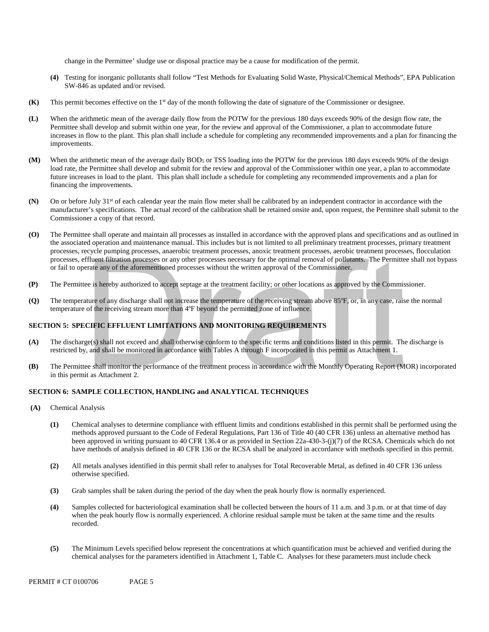change in the Permittee' sludge use or disposal practice may be a cause for modification of the permit.

- **(4)** Testing for inorganic pollutants shall follow "Test Methods for Evaluating Solid Waste, Physical/Chemical Methods", EPA Publication SW-846 as updated and/or revised.
- **(K)** This permit becomes effective on the 1<sup>st</sup> day of the month following the date of signature of the Commissioner or designee.
- **(L)** When the arithmetic mean of the average daily flow from the POTW for the previous 180 days exceeds 90% of the design flow rate, the Permittee shall develop and submit within one year, for the review and approval of the Commissioner, a plan to accommodate future increases in flow to the plant. This plan shall include a schedule for completing any recommended improvements and a plan for financing the improvements.
- **(M)** When the arithmetic mean of the average daily BOD5 or TSS loading into the POTW for the previous 180 days exceeds 90% of the design load rate, the Permittee shall develop and submit for the review and approval of the Commissioner within one year, a plan to accommodate future increases in load to the plant. This plan shall include a schedule for completing any recommended improvements and a plan for financing the improvements.
- **(N)** On or before July 31st of each calendar year the main flow meter shall be calibrated by an independent contractor in accordance with the manufacturer's specifications. The actual record of the calibration shall be retained onsite and, upon request, the Permittee shall submit to the Commissioner a copy of that record.
- **(O)** The Permittee shall operate and maintain all processes as installed in accordance with the approved plans and specifications and as outlined in or fail to operate any of the aforementioned processes without the written approval of the Commissioner. the associated operation and maintenance manual. This includes but is not limited to all preliminary treatment processes, primary treatment processes, recycle pumping processes, anaerobic treatment processes, anoxic treatment processes, aerobic treatment processes, flocculation processes, effluent filtration processes or any other processes necessary for the optimal removal of pollutants. The Permittee shall not bypass effluent filtration processes or any other processes necessary for the optimal removal of pollutants. The Permitte<br>erate any of the aforementioned processes without the written approval of the Commissioner.<br>tee is hereby a
- **(P)** The Permittee is hereby authorized to accept septage at the treatment facility; or other locations as approved by the Commissioner.
- **(Q)** The temperature of any discharge shall not increase the temperature of the receiving stream above 85ºF, or, in any case, raise the normal temperature of the receiving stream more than 4ºF beyond the permitted zone of influence.

### **SECTION 5: SPECIFIC EFFLUENT LIMITATIONS AND MONITORING REQUIREMENTS**

- restricted by, and shall be monitored in accordance with Tables A through F incorporated in this permit as Attachment 1. **(A)** The discharge(s) shall not exceed and shall otherwise conform to the specific terms and conditions listed in this permit. The discharge is
- in this permit as Attachment 2. **(B)** The Permittee shall monitor the performance of the treatment process in accordance with the Monthly Operating Report (MOR) incorporated

### **SECTION 6: SAMPLE COLLECTION, HANDLING and ANALYTICAL TECHNIQUES**

- $(A)$ **(A)** Chemical Analysis
	- been approved in writing pursuant to 40 CFR 136.4 or as provided in Section 22a-430-3-(j)(7) of the RCSA. Chemicals which do not **(1)** Chemical analyses to determine compliance with effluent limits and conditions established in this permit shall be performed using the methods approved pursuant to the Code of Federal Regulations, Part 136 of Title 40 (40 CFR 136) unless an alternative method has have methods of analysis defined in 40 CFR 136 or the RCSA shall be analyzed in accordance with methods specified in this permit.
	- **(2)** All metals analyses identified in this permit shall refer to analyses for Total Recoverable Metal, as defined in 40 CFR 136 unless otherwise specified.
	- **(3)** Grab samples shall be taken during the period of the day when the peak hourly flow is normally experienced.
	- **(4)** Samples collected for bacteriological examination shall be collected between the hours of 11 a.m. and 3 p.m. or at that time of day when the peak hourly flow is normally experienced. A chlorine residual sample must be taken at the same time and the results recorded.
	- chemical analyses for the parameters identified in Attachment 1, Table C. Analyses for these parameters must include check **(5)** The Minimum Levels specified below represent the concentrations at which quantification must be achieved and verified during the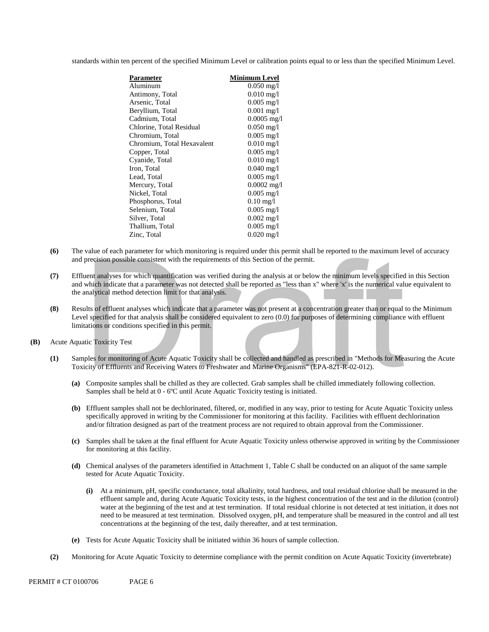standards within ten percent of the specified Minimum Level or calibration points equal to or less than the specified Minimum Level.

| Parameter                  | <b>Minimum Level</b>    |
|----------------------------|-------------------------|
| Aluminum                   | $0.050 \,\mathrm{mg}/l$ |
| Antimony, Total            | $0.010$ mg/l            |
| Arsenic, Total             | $0.005 \text{ mg/l}$    |
| Beryllium, Total           | $0.001$ mg/l            |
| Cadmium, Total             | $0.0005$ mg/l           |
| Chlorine, Total Residual   | $0.050 \text{ mg/l}$    |
| Chromium, Total            | $0.005$ mg/l            |
| Chromium, Total Hexavalent | $0.010$ mg/l            |
| Copper, Total              | $0.005$ mg/l            |
| Cyanide, Total             | $0.010 \text{ mg}/1$    |
| Iron, Total                | $0.040$ mg/l            |
| Lead, Total                | $0.005$ mg/l            |
| Mercury, Total             | $0.0002$ mg/l           |
| Nickel, Total              | $0.005$ mg/l            |
| Phosphorus, Total          | $0.10 \text{ mg}/1$     |
| Selenium, Total            | $0.005$ mg/l            |
| Silver, Total              | $0.002$ mg/l            |
| Thallium, Total            | $0.005$ mg/l            |
| Zinc, Total                | $0.020 \,\mathrm{mg}/l$ |
|                            |                         |

- **(6)** The value of each parameter for which monitoring is required under this permit shall be reported to the maximum level of accuracy and precision possible consistent with the requirements of this Section of the permit.
- **(7)** Effluent analyses for which quantification was verified during the analysis at or below the minimum levels specified in this Section and which indicate that a parameter was not detected shall be reported as "less than x" where 'x' is the numerical value equivalent to the analytical method detection limit for that analysis. precision possible consistent with the requirements of this Section of the permit.<br>
uent analyses for which quantification was verified during the analysis at or below the minimum levels specified<br>
which indicate that a pa
- **(8)** Results of effluent analyses which indicate that a parameter was not present at a concentration greater than or equal to the Minimum Level specified for that analysis shall be considered equivalent to zero (0.0) for purposes of determining compliance with effluent limitations or conditions specified in this permit.
- **(B)** Acute Aquatic Toxicity Test
	- **(1)** Samples for monitoring of Acute Aquatic Toxicity shall be collected and handled as prescribed in "Methods for Measuring the Acute Toxicity of Effluents and Receiving Waters to Freshwater and Marine Organisms" (EPA-821-R-02-012).
		- Samples shall be held at 0 6ºC until Acute Aquatic Toxicity testing is initiated. **(a)** Composite samples shall be chilled as they are collected. Grab samples shall be chilled immediately following collection.
		- **(b)** Effluent samples shall not be dechlorinated, filtered, or, modified in any way, prior to testing for Acute Aquatic Toxicity unless specifically approved in writing by the Commissioner for monitoring at this facility. Facilities with effluent dechlorination and/or filtration designed as part of the treatment process are not required to obtain approval from the Commissioner.
		- **(c)** Samples shall be taken at the final effluent for Acute Aquatic Toxicity unless otherwise approved in writing by the Commissioner for monitoring at this facility.
		- **(d)** Chemical analyses of the parameters identified in Attachment 1, Table C shall be conducted on an aliquot of the same sample tested for Acute Aquatic Toxicity.
			- **(i)** At a minimum, pH, specific conductance, total alkalinity, total hardness, and total residual chlorine shall be measured in the effluent sample and, during Acute Aquatic Toxicity tests, in the highest concentration of the test and in the dilution (control) water at the beginning of the test and at test termination. If total residual chlorine is not detected at test initiation, it does not need to be measured at test termination. Dissolved oxygen, pH, and temperature shall be measured in the control and all test concentrations at the beginning of the test, daily thereafter, and at test termination.
		- **(e)** Tests for Acute Aquatic Toxicity shall be initiated within 36 hours of sample collection.
	- **(2)** Monitoring for Acute Aquatic Toxicity to determine compliance with the permit condition on Acute Aquatic Toxicity (invertebrate)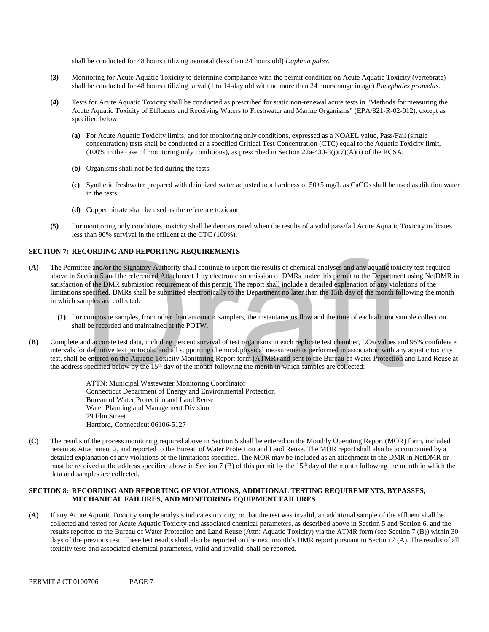shall be conducted for 48 hours utilizing neonatal (less than 24 hours old) *Daphnia pulex*.

- shall be conducted for 48 hours utilizing larval (1 to 14-day old with no more than 24 hours range in age) *Pimephales promelas*. **(3)** Monitoring for Acute Aquatic Toxicity to determine compliance with the permit condition on Acute Aquatic Toxicity (vertebrate)
- **(4)** Tests for Acute Aquatic Toxicity shall be conducted as prescribed for static non-renewal acute tests in "Methods for measuring the Acute Aquatic Toxicity of Effluents and Receiving Waters to Freshwater and Marine Organisms" (EPA/821-R-02-012), except as specified below.
	- $(100\%$  in the case of monitoring only conditions), as prescribed in Section 22a-430-3(j)(7)(A)(i) of the RCSA. **(a)** For Acute Aquatic Toxicity limits, and for monitoring only conditions, expressed as a NOAEL value, Pass/Fail (single concentration) tests shall be conducted at a specified Critical Test Concentration (CTC) equal to the Aquatic Toxicity limit,
	- **(b)** Organisms shall not be fed during the tests.
	- **(c)** Synthetic freshwater prepared with deionized water adjusted to a hardness of 50±5 mg/L as CaCO3 shall be used as dilution water in the tests.
	- **(d)** Copper nitrate shall be used as the reference toxicant.
- **(5)** For monitoring only conditions, toxicity shall be demonstrated when the results of a valid pass/fail Acute Aquatic Toxicity indicates less than 90% survival in the effluent at the CTC (100%).

### **SECTION 7: RECORDING AND REPORTING REQUIREMENTS**

- **(A)** The Permittee and/or the Signatory Authority shall continue to report the results of chemical analyses and any aquatic toxicity test required above in Section 5 and the referenced Attachment 1 by electronic submission of DMRs under this permit to the Department using NetDMR in satisfaction of the DMR submission requirement of this permit. The report shall include a detailed explanation of any violations of the limitations specified. DMRs shall be submitted electronically to the Department no later than the 15th day of the month following the month in which samples are collected. tee and/or the Signatory Authority shall continue to report the results of chemical analyses and any aquatic toxic<br>ection 5 and the referenced Attachment 1 by electronic submission of DMRs under this permit to the Departme
	- **(1)** For composite samples, from other than automatic samplers, the instantaneous flow and the time of each aliquot sample collection shall be recorded and maintained at the POTW.
- **(B)** Complete and accurate test data, including percent survival of test organisms in each replicate test chamber, LC<sub>50</sub> values and 95% confidence intervals for definitive test protocols, and all supporting chemical/physical measurements performed in association with any aquatic toxicity test, shall be entered on the Aquatic Toxicity Monitoring Report form (ATMR) and sent to the Bureau of Water Protection and Land Reuse at the address specified below by the  $15<sup>th</sup>$  day of the month following the month in which samples are collected:

ATTN: Municipal Wastewater Monitoring Coordinator Connecticut Department of Energy and Environmental Protection Bureau of Water Protection and Land Reuse Water Planning and Management Division 79 Elm Street Hartford, Connecticut 06106-5127

 detailed explanation of any violations of the limitations specified. The MOR may be included as an attachment to the DMR in NetDMR or data and samples are collected. **(C)** The results of the process monitoring required above in Section 5 shall be entered on the Monthly Operating Report (MOR) form, included herein as Attachment 2, and reported to the Bureau of Water Protection and Land Reuse. The MOR report shall also be accompanied by a must be received at the address specified above in Section 7 (B) of this permit by the 15<sup>th</sup> day of the month following the month in which the

### **SECTION 8: RECORDING AND REPORTING OF VIOLATIONS, ADDITIONAL TESTING REQUIREMENTS, BYPASSES, MECHANICAL FAILURES, AND MONITORING EQUIPMENT FAILURES**

 **(A)** If any Acute Aquatic Toxicity sample analysis indicates toxicity, or that the test was invalid, an additional sample of the effluent shall be results reported to the Bureau of Water Protection and Land Reuse (Attn: Aquatic Toxicity) via the ATMR form (see Section 7 (B)) within 30 collected and tested for Acute Aquatic Toxicity and associated chemical parameters, as described above in Section 5 and Section 6, and the days of the previous test. These test results shall also be reported on the next month's DMR report pursuant to Section 7 (A). The results of all toxicity tests and associated chemical parameters, valid and invalid, shall be reported.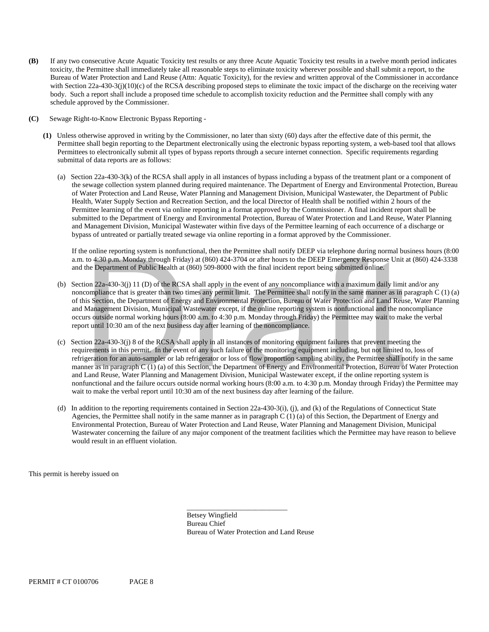- toxicity, the Permittee shall immediately take all reasonable steps to eliminate toxicity wherever possible and shall submit a report, to the Bureau of Water Protection and Land Reuse (Attn: Aquatic Toxicity), for the review and written approval of the Commissioner in accordance with Section 22a-430-3(j)(10)(c) of the RCSA describing proposed steps to eliminate the toxic impact of the discharge on the receiving water body. Such a report shall include a proposed time schedule to accomplish toxicity reduction and the Permittee shall comply with any schedule approved by the Commissioner.
- **(C)** Sewage Right-to-Know Electronic Bypass Reporting -
	- **(1)** Unless otherwise approved in writing by the Commissioner, no later than sixty (60) days after the effective date of this permit, the Permittee shall begin reporting to the Department electronically using the electronic bypass reporting system, a web-based tool that allows Permittees to electronically submit all types of bypass reports through a secure internet connection. Specific requirements regarding submittal of data reports are as follows:
- Health, Water Supply Section and Recreation Section, and the local Director of Health shall be notified within 2 hours of the bypass of untreated or partially treated sewage via online reporting in a format approved by the Commissioner.  $\Phi$  IF any the secondarised to particle in the secondary of the secondary consecutive Acute Acute Acute Acute Acute Acute Acute Acute Acute Acute Acute Acute Acute Acute Acute Acute Acute Acute Acute Acute Acute Acute Ac (a) Section 22a-430-3(k) of the RCSA shall apply in all instances of bypass including a bypass of the treatment plant or a component of the sewage collection system planned during required maintenance. The Department of Energy and Environmental Protection, Bureau of Water Protection and Land Reuse, Water Planning and Management Division, Municipal Wastewater, the Department of Public Permittee learning of the event via online reporting in a format approved by the Commissioner. A final incident report shall be submitted to the Department of Energy and Environmental Protection, Bureau of Water Protection and Land Reuse, Water Planning and Management Division, Municipal Wastewater within five days of the Permittee learning of each occurrence of a discharge or

bypass of untreated or partially treated sewage via online reporting in a format approved by the Commissioner.<br>If the online reporting system is nonfunctional, then the Permittee shall notify DEEP via telephone during norm a.m. to 4:30 p.m. Monday through Friday) at (860) 424-3704 or after hours to the DEEP Emergency Response Unit at (860) 424-3338 and the Department of Public Health at (860) 509-8000 with the final incident report being submitted online.

- (b) Section 22a-430-3(j) 11 (D) of the RCSA shall apply in the event of any noncompliance with a maximum daily limit and/or any noncompliance that is greater than two times any permit limit. The Permittee shall notify in the same manner as in paragraph C (1) (a) report until 10:30 am of the next business day after learning of the noncompliance. of this Section, the Department of Energy and Environmental Protection, Bureau of Water Protection and Land Reuse, Water Planning and Management Division, Municipal Wastewater except, if the online reporting system is nonfunctional and the noncompliance occurs outside normal working hours (8:00 a.m. to 4:30 p.m. Monday through Friday) the Permittee may wait to make the verbal
- requirements in this permit. In the event of any such failure of the monitoring equipment including, but not limited to, loss of manner as in paragraph C (1) (a) of this Section, the Department of Energy and Environmental Protection, Bureau of Water Protection nonfunctional and the failure occurs outside normal working hours (8:00 a.m. to 4:30 p.m. Monday through Friday) the Permittee may wait to make the verbal report until 10:30 am of the next business day after learning of the failure. (c) Section  $22a-430-3(j)$  8 of the RCSA shall apply in all instances of monitoring equipment failures that prevent meeting the refrigeration for an auto-sampler or lab refrigerator or loss of flow proportion sampling ability, the Permittee shall notify in the same and Land Reuse, Water Planning and Management Division, Municipal Wastewater except, if the online reporting system is to 4:30 p.m. Monday through Friday) at (860) 424-3704 or after hours to the DEEP Emergency Response Unit<br>the Department of Public Health at (860) 509-8000 with the final incident report being submitted online.<br>ion  $22a-43$
- would result in an effluent violation. (d) In addition to the reporting requirements contained in Section 22a-430-3(i), (j), and (k) of the Regulations of Connecticut State Agencies, the Permittee shall notify in the same manner as in paragraph C (1) (a) of this Section, the Department of Energy and Environmental Protection, Bureau of Water Protection and Land Reuse, Water Planning and Management Division, Municipal Wastewater concerning the failure of any major component of the treatment facilities which the Permittee may have reason to believe would result in an effluent violation. This permit is hereby issued on

Betsey Wingfield Bureau Chief Bureau of Water Protection and Land Reuse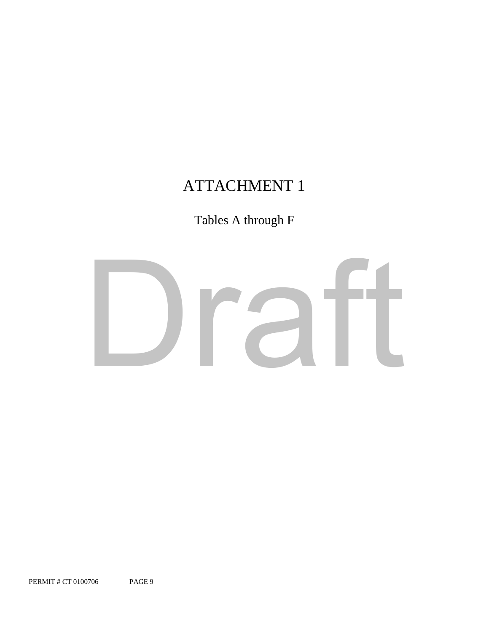# ATTACHMENT 1

# Tables A through F

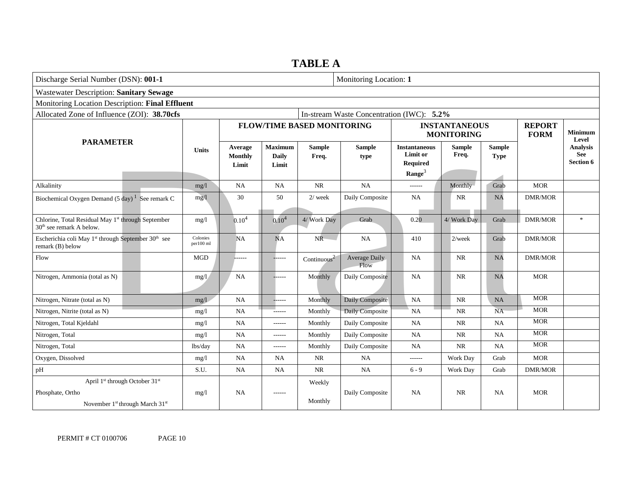# **TABLE A**

| Discharge Serial Number (DSN): 001-1                                                                              |                                           |                             |                                         |                                   | Monitoring Location: 1 |                                                                           |                                           |                              |                              |                                            |
|-------------------------------------------------------------------------------------------------------------------|-------------------------------------------|-----------------------------|-----------------------------------------|-----------------------------------|------------------------|---------------------------------------------------------------------------|-------------------------------------------|------------------------------|------------------------------|--------------------------------------------|
| <b>Wastewater Description: Sanitary Sewage</b>                                                                    |                                           |                             |                                         |                                   |                        |                                                                           |                                           |                              |                              |                                            |
| Monitoring Location Description: Final Effluent                                                                   |                                           |                             |                                         |                                   |                        |                                                                           |                                           |                              |                              |                                            |
| Allocated Zone of Influence (ZOI): 38.70cfs                                                                       | In-stream Waste Concentration (IWC): 5.2% |                             |                                         |                                   |                        |                                                                           |                                           |                              |                              |                                            |
|                                                                                                                   |                                           |                             |                                         | <b>FLOW/TIME BASED MONITORING</b> |                        |                                                                           | <b>INSTANTANEOUS</b><br><b>MONITORING</b> |                              | <b>REPORT</b><br><b>FORM</b> | <b>Minimum</b><br>Level                    |
| <b>PARAMETER</b>                                                                                                  | <b>Units</b>                              | Average<br>Monthly<br>Limit | <b>Maximum</b><br><b>Daily</b><br>Limit | <b>Sample</b><br>Freq.            | <b>Sample</b><br>type  | <b>Instantaneous</b><br>Limit or<br><b>Required</b><br>$\textbf{Range}^3$ | <b>Sample</b><br>Freq.                    | <b>Sample</b><br><b>Type</b> |                              | <b>Analysis</b><br><b>See</b><br>Section 6 |
| Alkalinity                                                                                                        | mg/1                                      | <b>NA</b>                   | <b>NA</b>                               | NR                                | <b>NA</b>              | ------                                                                    | Monthly-                                  | Grab                         | <b>MOR</b>                   |                                            |
| Biochemical Oxygen Demand (5 day) <sup>1</sup> See remark C                                                       | mg/l                                      | 30                          | 50                                      | $2/$ week                         | Daily Composite        | NA                                                                        | <b>NR</b>                                 | <b>NA</b>                    | <b>DMR/MOR</b>               |                                            |
| Chlorine, Total Residual May 1st through September<br>30 <sup>th</sup> see remark A below.                        | mg/1                                      | 0.10 <sup>4</sup>           | $0.10^{4}$                              | 4/ Work Day                       | Grab                   | 0.20                                                                      | 4/ Work Day                               | Grab                         | <b>DMR/MOR</b>               | $\ast$                                     |
| Escherichia coli May 1 <sup>st</sup> through September 30 <sup>th</sup> see<br>remark (B) below                   | Colonies<br>per100 ml                     | NA                          | NA                                      | NR                                | <b>NA</b>              | 410                                                                       | $2$ /week                                 | Grab                         | <b>DMR/MOR</b>               |                                            |
| Flow                                                                                                              | <b>MGD</b>                                |                             |                                         | Continuous $2$                    | Average Daily<br>Flow  | <b>NA</b>                                                                 | NR                                        | NA                           | <b>DMR/MOR</b>               |                                            |
| Nitrogen, Ammonia (total as N)                                                                                    | mg/1                                      | <b>NA</b>                   |                                         | Monthly                           | Daily Composite        | NA                                                                        | <b>NR</b>                                 | <b>NA</b>                    | <b>MOR</b>                   |                                            |
| Nitrogen, Nitrate (total as N)                                                                                    | mg/1                                      | NA                          | ------                                  | Monthly                           | Daily Composite        | <b>NA</b>                                                                 | <b>NR</b>                                 | NA                           | <b>MOR</b>                   |                                            |
| Nitrogen, Nitrite (total as N)                                                                                    | mg/1                                      | <b>NA</b>                   | $- - - - - -$                           | Monthly                           | Daily Composite        | <b>NA</b>                                                                 | $\rm NR$                                  | <b>NA</b>                    | <b>MOR</b>                   |                                            |
| Nitrogen, Total Kjeldahl                                                                                          | mg/1                                      | <b>NA</b>                   | ------                                  | Monthly                           | Daily Composite        | NA                                                                        | NR                                        | <b>NA</b>                    | <b>MOR</b>                   |                                            |
| Nitrogen, Total                                                                                                   | mg/1                                      | NA                          | $- - - - - -$                           | Monthly                           | Daily Composite        | $_{\rm NA}$                                                               | $\rm NR$                                  | <b>NA</b>                    | <b>MOR</b>                   |                                            |
| Nitrogen, Total                                                                                                   | lbs/day                                   | <b>NA</b>                   | ------                                  | Monthly                           | Daily Composite        | <b>NA</b>                                                                 | <b>NR</b>                                 | <b>NA</b>                    | <b>MOR</b>                   |                                            |
| Oxygen, Dissolved                                                                                                 | mg/1                                      | NA                          | <b>NA</b>                               | NR                                | <b>NA</b>              | ------                                                                    | Work Day                                  | Grab                         | <b>MOR</b>                   |                                            |
| pH                                                                                                                | S.U.                                      | NA                          | NA                                      | NR                                | <b>NA</b>              | $6 - 9$                                                                   | Work Day                                  | Grab                         | <b>DMR/MOR</b>               |                                            |
| April $1st$ through October $31st$<br>Phosphate, Ortho<br>November 1 <sup>st</sup> through March 31 <sup>st</sup> | mg/1                                      | NA                          | ------                                  | Weekly<br>Monthly                 | Daily Composite        | <b>NA</b>                                                                 | NR                                        | <b>NA</b>                    | <b>MOR</b>                   |                                            |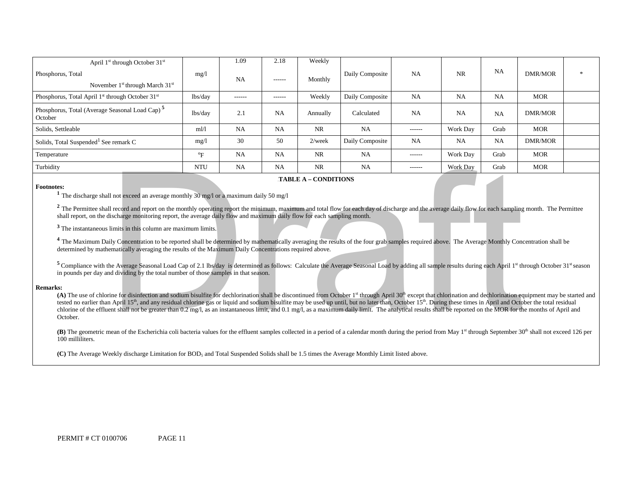| April $1st$ through October $31st$                                       |                           | 1.09          | 2.18          | Weekly    |                 |               |           |           |                |        |
|--------------------------------------------------------------------------|---------------------------|---------------|---------------|-----------|-----------------|---------------|-----------|-----------|----------------|--------|
| Phosphorus, Total<br>November $1st$ through March $31st$                 | mg/1                      | <b>NA</b>     | $- - - - - -$ | Monthly   | Daily Composite | <b>NA</b>     | <b>NR</b> | <b>NA</b> | <b>DMR/MOR</b> | $\ast$ |
| Phosphorus, Total April 1 <sup>st</sup> through October 31 <sup>st</sup> | lbs/day                   | $- - - - - -$ | ------        | Weekly    | Daily Composite | <b>NA</b>     | <b>NA</b> | <b>NA</b> | <b>MOR</b>     |        |
| Phosphorus, Total (Average Seasonal Load Cap) <sup>5</sup><br>October    | lbs/day                   | 2.1           | NA            | Annually  | Calculated      | <b>NA</b>     | NA        | NA        | <b>DMR/MOR</b> |        |
| Solids, Settleable                                                       | m1/1                      | NA            | <b>NA</b>     | <b>NR</b> | <b>NA</b>       | $- - - - - -$ | Work Day  | Grab      | <b>MOR</b>     |        |
| Solids, Total Suspended <sup>1</sup> See remark C                        | mg/1                      | 30            | 50            | $2$ /week | Daily Composite | <b>NA</b>     | NA        | <b>NA</b> | <b>DMR/MOR</b> |        |
| Temperature                                                              | $\mathrm{P}_{\mathrm{F}}$ | NA            | NA            | <b>NR</b> | <b>NA</b>       | $- - - - - -$ | Work Day  | Grab      | <b>MOR</b>     |        |
| Turbidity                                                                | <b>NTU</b>                | NA            | NA            | <b>NR</b> | <b>NA</b>       | $- - - - - -$ | Work Day  | Grab      | <b>MOR</b>     |        |

#### 6B**TABLE A – CONDITIONS**

**Footnotes: 1** The discharge shall not exceed an average monthly 30 mg/l or a maximum daily 50 mg/l

<sup>2</sup> The Permittee shall record and report on the monthly operating report the minimum, maximum and total flow for each day of discharge and the average daily flow for each sampling month. The Permittee shall report, on the discharge monitoring report, the average daily flow and maximum daily flow for each sampling month.

**<sup>3</sup>**The instantaneous limits in this column are maximum limits.

<sup>4</sup> The Maximum Daily Concentration to be reported shall be determined by mathematically averaging the results of the four grab samples required above. The Average Monthly Concentration shall be determined by mathematically averaging the results of the Maximum Daily Concentrations required above.

 in pounds per day and dividing by the total number of those samples in that season. <sup>5</sup> Compliance with the Average Seasonal Load Cap of 2.1 lbs/day is determined as follows: Calculate the Average Seasonal Load by adding all sample results during each April 1st through October 31st season

#### **Remarks:**

tested no earlier than April 15<sup>th</sup>, and any residual chlorine gas or liquid and sodium bisulfite may be used up until, but no later than, October 15<sup>th</sup>. During these times in April and October the total residual chlorine of the effluent shall not be greater than 0.2 mg/l, as an instantaneous limit, and 0.1 mg/l, as a maximum daily limit. The analytical results shall be reported on the MOR for the months of April and (A) The use of chlorine for disinfection and sodium bisulfite for dechlorination shall be discontinued from October 1<sup>st</sup> through April 30<sup>th</sup> except that chlorination and dechlorination equipment may be started and October.  $\frac{N \times 1}{N}$ <br>
TABLE A - CONDITIONS<br>
TABLE A - CONDITIONS<br>
Il record and vertage monthly 30 mg/1 or a maximum daily 50 mg/1<br>
Il record and report on the monthly operating report the minimum, maximum and total flow for eac

(B) The geometric mean of the Escherichia coli bacteria values for the effluent samples collected in a period of a calendar month during the period from May 1<sup>st</sup> through September 30<sup>th</sup> shall not exceed 126 per 100 milliliters.

(C) The Average Weekly discharge Limitation for BOD<sub>5</sub> and Total Suspended Solids shall be 1.5 times the Average Monthly Limit listed above.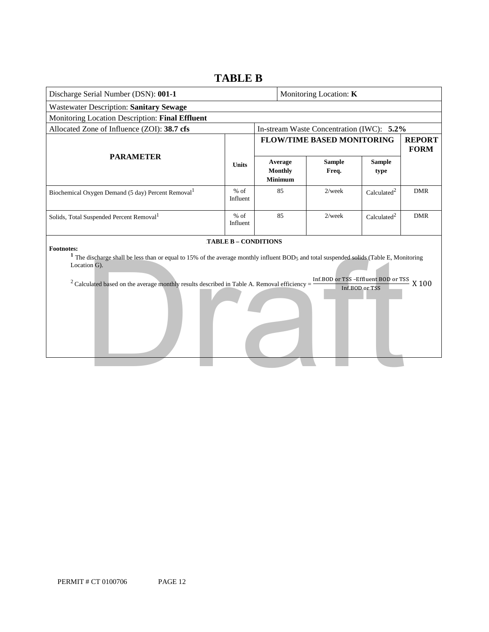## Discharge Serial Number (DSN): **001-1** Monitoring Location: **K**  Allocated Zone of Influence (ZOI): **38.7 cfs** In-stream Waste Concentration (IWC): **5.2% Footnotes: 1** The discharge shall be less than or equal to 15% of the average monthly influent BOD5 and total suspended solids (Table E, Monitoring Inf.BOD or TSS -Effluent BOD or TSS  $X$  100 Inf.BOD or TSS Wastewater Description: **Sanitary Sewage**  Monitoring Location Description: **Final Effluent PARAMETER** 7B**Units FLOW/TIME BASED MONITORING | REPORT FORM Average Monthly Minimum Sample Freq. Sample type**  Biochemical Oxygen Demand (5 day) Percent Removal<sup>1</sup>  $\%$  of Influent 85 2/week Calculated<sup>2</sup> DMR Solids, Total Suspended Percent Removal<sup>1</sup> % of Influent 85 2/week Calculated<sup>2</sup> DMR **TABLE B – CONDITIONS** Location G). <sup>2</sup> Calculated based on the average monthly results described in Table A. Removal efficiency = e discharge shall be less than or equal to 15% of the average monthly influent BOD<sub>5</sub> and total suspended solids (Table E, Montion G).<br>
culated based on the average monthly results described in Table A. Removal efficiency

## **TABLE B**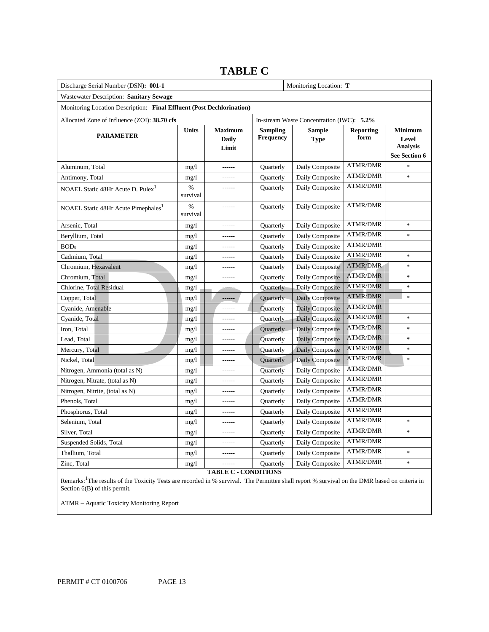# **TABLE C**

| Discharge Serial Number (DSN): 001-1                                  |               | Monitoring Location: T           |                                     |                                           |                          |                                                             |
|-----------------------------------------------------------------------|---------------|----------------------------------|-------------------------------------|-------------------------------------------|--------------------------|-------------------------------------------------------------|
| Wastewater Description: Sanitary Sewage                               |               |                                  |                                     |                                           |                          |                                                             |
| Monitoring Location Description: Final Effluent (Post Dechlorination) |               |                                  |                                     |                                           |                          |                                                             |
| Allocated Zone of Influence (ZOI): 38.70 cfs                          |               |                                  |                                     | In-stream Waste Concentration (IWC): 5.2% |                          |                                                             |
| <b>PARAMETER</b>                                                      | Units         | <b>Maximum</b><br>Daily<br>Limit | <b>Sampling</b><br><b>Frequency</b> | <b>Sample</b><br><b>Type</b>              | <b>Reporting</b><br>form | <b>Minimum</b><br>Level<br><b>Analysis</b><br>See Section 6 |
| Aluminum, Total                                                       | mg/1          | $- - - - - -$                    | Quarterly                           | Daily Composite                           | <b>ATMR/DMR</b>          | $\ast$                                                      |
| Antimony, Total                                                       | mg/1          | ------                           | Quarterly                           | Daily Composite                           | <b>ATMR/DMR</b>          | $\ast$                                                      |
| NOAEL Static 48Hr Acute D. Pulex <sup>1</sup>                         | %<br>survival | ------                           | Quarterly                           | Daily Composite                           | <b>ATMR/DMR</b>          |                                                             |
| NOAEL Static 48Hr Acute Pimephales <sup>1</sup>                       | %<br>survival | $- - - - - -$                    | Quarterly                           | Daily Composite                           | <b>ATMR/DMR</b>          |                                                             |
| Arsenic, Total                                                        | mg/1          | ------                           | Quarterly                           | Daily Composite                           | <b>ATMR/DMR</b>          | $\ast$                                                      |
| Beryllium, Total                                                      | mg/1          | ------                           | Quarterly                           | Daily Composite                           | <b>ATMR/DMR</b>          | $\ast$                                                      |
| BOD <sub>5</sub>                                                      | mg/1          | $- - - - - -$                    | Quarterly                           | Daily Composite                           | <b>ATMR/DMR</b>          |                                                             |
| Cadmium, Total                                                        | mg/1          | $- - - - - -$                    | Quarterly                           | Daily Composite                           | <b>ATMR/DMR</b>          | $\ast$                                                      |
| Chromium, Hexavalent                                                  | mg/1          | ------                           | Quarterly                           | Daily Composite                           | <b>ATMR/DMR</b>          | $\ast$                                                      |
| Chromium, Total                                                       | mg/1          | ------                           | Quarterly                           | Daily Composite                           | <b>ATMR/DMR</b>          | $\ast$                                                      |
| Chlorine, Total Residual                                              | mg/1          |                                  | Quarterly                           | Daily Composite                           | <b>ATMR/DMR</b>          | $\ast$                                                      |
| Copper, Total                                                         | mg/1          |                                  | Quarterly                           | Daily Composite                           | <b>ATMR/DMR</b>          | $\ast$                                                      |
| Cyanide, Amenable                                                     | mg/1          | ------                           | Quarterly                           | Daily Composite                           | <b>ATMR/DMR</b>          |                                                             |
| Cyanide, Total                                                        | mg/1          |                                  | Quarterly                           | Daily Composite                           | <b>ATMR/DMR</b>          | $\ast$                                                      |
| Iron, Total                                                           | mg/1          |                                  | Quarterly                           | Daily Composite                           | <b>ATMR/DMR</b>          | $\ast$                                                      |
| Lead, Total                                                           | mg/1          |                                  | Quarterly                           | Daily Composite                           | <b>ATMR/DMR</b>          | $\ast$                                                      |
| Mercury, Total                                                        | mg/1          | ------                           | Quarterly                           | Daily Composite                           | <b>ATMR/DMR</b>          | $\ast$                                                      |
| Nickel, Total                                                         | mg/l          | $- - - - - -$                    | Quarterly                           | Daily Composite                           | <b>ATMR/DMR</b>          | $\frac{1}{2}$                                               |
| Nitrogen, Ammonia (total as N)                                        | mg/1          | $- - - - - -$                    | Quarterly                           | Daily Composite                           | ATMR/DMR                 |                                                             |
| Nitrogen, Nitrate, (total as N)                                       | mg/1          | ------                           | Quarterly                           | Daily Composite                           | <b>ATMR/DMR</b>          |                                                             |
| Nitrogen, Nitrite, (total as N)                                       | mg/1          | ------                           | Quarterly                           | Daily Composite                           | <b>ATMR/DMR</b>          |                                                             |
| Phenols, Total                                                        | mg/1          | ------                           | Quarterly                           | Daily Composite                           | <b>ATMR/DMR</b>          |                                                             |
| Phosphorus, Total                                                     | mg/1          | ------                           | Quarterly                           | Daily Composite                           | <b>ATMR/DMR</b>          |                                                             |
| Selenium, Total                                                       | mg/1          | ------                           | Quarterly                           | Daily Composite                           | <b>ATMR/DMR</b>          | $\ast$                                                      |
| Silver, Total                                                         | mg/1          | ------                           | Quarterly                           | Daily Composite                           | <b>ATMR/DMR</b>          | $\ast$                                                      |
| Suspended Solids, Total                                               | mg/1          |                                  | Quarterly                           | Daily Composite                           | <b>ATMR/DMR</b>          |                                                             |
| Thallium, Total                                                       | mg/1          |                                  | Quarterly                           | Daily Composite                           | <b>ATMR/DMR</b>          | $\ast$                                                      |
| Zinc, Total                                                           | mg/1          |                                  | Quarterly                           | Daily Composite                           | <b>ATMR/DMR</b>          | $\ast$                                                      |
| <b>TABLE C - CONDITIONS</b>                                           |               |                                  |                                     |                                           |                          |                                                             |

Remarks:<sup>1</sup>The results of the Toxicity Tests are recorded in % survival. The Permittee shall report % survival on the DMR based on criteria in Section 6(B) of this permit.

ATMR – Aquatic Toxicity Monitoring Report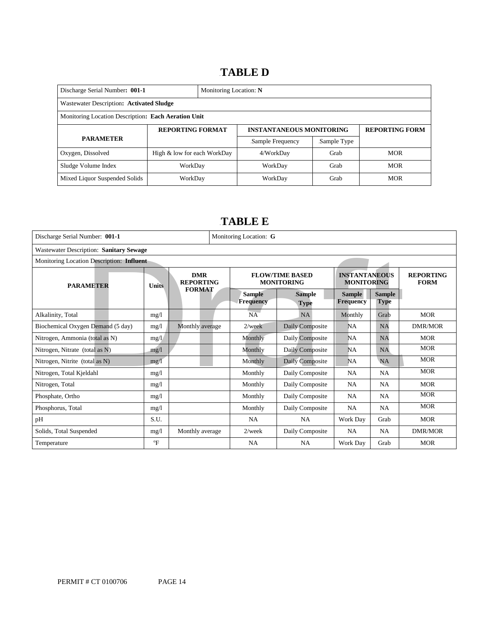# 14B**TABLE D**

| Discharge Serial Number: 001-1<br>Monitoring Location: N |                             |  |                                 |                       |            |
|----------------------------------------------------------|-----------------------------|--|---------------------------------|-----------------------|------------|
| Wastewater Description: Activated Sludge                 |                             |  |                                 |                       |            |
| Monitoring Location Description: Each Aeration Unit      |                             |  |                                 |                       |            |
|                                                          | <b>REPORTING FORMAT</b>     |  | <b>INSTANTANEOUS MONITORING</b> | <b>REPORTING FORM</b> |            |
| <b>PARAMETER</b>                                         |                             |  | Sample Frequency                | Sample Type           |            |
| Oxygen, Dissolved                                        | High & low for each WorkDay |  | 4/WorkDay                       | Grab                  | <b>MOR</b> |
| Sludge Volume Index                                      | WorkDay                     |  | WorkDay                         | Grab                  | <b>MOR</b> |
| Mixed Liquor Suspended Solids                            | WorkDay                     |  | WorkDay                         | Grab                  | <b>MOR</b> |

# 15B**TABLE E**

| Discharge Serial Number: 001-1            |              |                                | Monitoring Location: G                      |                            |                              |                                           |                              |                                 |
|-------------------------------------------|--------------|--------------------------------|---------------------------------------------|----------------------------|------------------------------|-------------------------------------------|------------------------------|---------------------------------|
| Wastewater Description: Sanitary Sewage   |              |                                |                                             |                            |                              |                                           |                              |                                 |
| Monitoring Location Description: Influent |              |                                |                                             |                            |                              |                                           |                              |                                 |
| <b>PARAMETER</b>                          | <b>Units</b> | <b>DMR</b><br><b>REPORTING</b> | <b>FLOW/TIME BASED</b><br><b>MONITORING</b> |                            |                              | <b>INSTANTANEOUS</b><br><b>MONITORING</b> |                              | <b>REPORTING</b><br><b>FORM</b> |
|                                           |              | <b>FORMAT</b>                  |                                             | <b>Sample</b><br>Frequency | <b>Sample</b><br><b>Type</b> | <b>Sample</b><br><b>Frequency</b>         | <b>Sample</b><br><b>Type</b> |                                 |
| Alkalinity, Total                         | mg/1         |                                |                                             | NA                         | NA                           | Monthly                                   | Grab                         | <b>MOR</b>                      |
| Biochemical Oxygen Demand (5 day)         | mg/1         | Monthly average                |                                             | $2$ /week                  | Daily Composite              | <b>NA</b>                                 | NA                           | <b>DMR/MOR</b>                  |
| Nitrogen, Ammonia (total as N)            | mg/1         |                                |                                             | Monthly                    | Daily Composite              | <b>NA</b>                                 | NA                           | <b>MOR</b>                      |
| Nitrogen, Nitrate (total as N)            | mg/1         |                                |                                             | Monthly                    | Daily Composite              | <b>NA</b>                                 | NA                           | <b>MOR</b>                      |
| Nitrogen, Nitrite (total as N)            | mg/1         |                                |                                             | Monthly                    | Daily Composite              | <b>NA</b>                                 | NA                           | <b>MOR</b>                      |
| Nitrogen, Total Kjeldahl                  | mg/1         |                                |                                             | Monthly                    | Daily Composite              | <b>NA</b>                                 | NA                           | <b>MOR</b>                      |
| Nitrogen, Total                           | mg/1         |                                |                                             | Monthly                    | Daily Composite              | <b>NA</b>                                 | NA                           | <b>MOR</b>                      |
| Phosphate, Ortho                          | mg/1         |                                |                                             | Monthly                    | Daily Composite              | <b>NA</b>                                 | NA                           | <b>MOR</b>                      |
| Phosphorus, Total                         | mg/1         |                                |                                             | Monthly                    | Daily Composite              | <b>NA</b>                                 | <b>NA</b>                    | <b>MOR</b>                      |
| pH                                        | S.U.         |                                |                                             | NA                         | NA                           | Work Day                                  | Grab                         | <b>MOR</b>                      |
| Solids, Total Suspended                   | mg/1         | Monthly average                |                                             | $2$ /week                  | Daily Composite              | NA                                        | NA                           | <b>DMR/MOR</b>                  |
| Temperature                               | $\rm ^{o}F$  |                                |                                             | NA                         | NA.                          | Work Day                                  | Grab                         | <b>MOR</b>                      |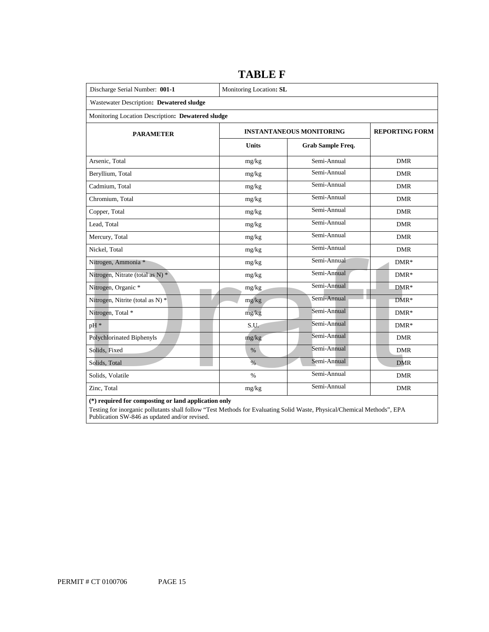| Discharge Serial Number: 001-1                    | Monitoring Location: SL |                                 |                       |
|---------------------------------------------------|-------------------------|---------------------------------|-----------------------|
| Wastewater Description: Dewatered sludge          |                         |                                 |                       |
| Monitoring Location Description: Dewatered sludge |                         |                                 |                       |
| <b>PARAMETER</b>                                  |                         | <b>INSTANTANEOUS MONITORING</b> | <b>REPORTING FORM</b> |
|                                                   | <b>Units</b>            | <b>Grab Sample Freq.</b>        |                       |
| Arsenic, Total                                    | mg/kg                   | Semi-Annual                     | <b>DMR</b>            |
| Beryllium, Total                                  | mg/kg                   | Semi-Annual                     | <b>DMR</b>            |
| Cadmium, Total                                    | mg/kg                   | Semi-Annual                     | <b>DMR</b>            |
| Chromium. Total                                   | mg/kg                   | Semi-Annual                     | <b>DMR</b>            |
| Copper, Total                                     | mg/kg                   | Semi-Annual                     | <b>DMR</b>            |
| Lead, Total                                       | mg/kg                   | Semi-Annual                     | <b>DMR</b>            |
| Mercury, Total                                    | mg/kg                   | Semi-Annual                     | <b>DMR</b>            |
| Nickel, Total                                     | mg/kg                   | Semi-Annual                     | <b>DMR</b>            |
| Nitrogen, Ammonia *                               | mg/kg                   | Semi-Annual                     | $DMR*$                |
| Nitrogen, Nitrate (total as N) *                  | mg/kg                   | Semi-Annual                     | $DMR*$                |
| Nitrogen, Organic *                               | mg/kg                   | Semi-Annual                     | $DMR*$                |
| Nitrogen, Nitrite (total as N) *                  | mg/kg                   | Semi-Annual                     | $DMR*$                |
| Nitrogen, Total *                                 | mg/kg                   | Semi-Annual                     | $DMR*$                |
| pH <sup>*</sup>                                   | S.U.                    | Semi-Annual                     | $DMR*$                |
| Polychlorinated Biphenyls                         | mg/kg                   | Semi-Annual                     | <b>DMR</b>            |
| Solids, Fixed                                     | $\%$                    | Semi-Annual                     | <b>DMR</b>            |
| Solids, Total                                     | $\%$                    | Semi-Annual                     | <b>DMR</b>            |
| Solids, Volatile                                  | $\%$                    | Semi-Annual                     | <b>DMR</b>            |
| Zinc, Total                                       | mg/kg                   | Semi-Annual                     | <b>DMR</b>            |

**TABLE F** 

 **(\*) required for composting or land application only** 

 Testing for inorganic pollutants shall follow "Test Methods for Evaluating Solid Waste, Physical/Chemical Methods", EPA Publication SW-846 as updated and/or revised.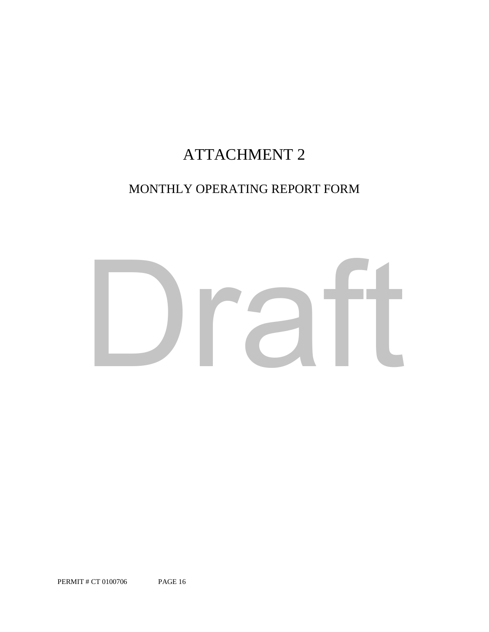# ATTACHMENT 2

# MONTHLY OPERATING REPORT FORM

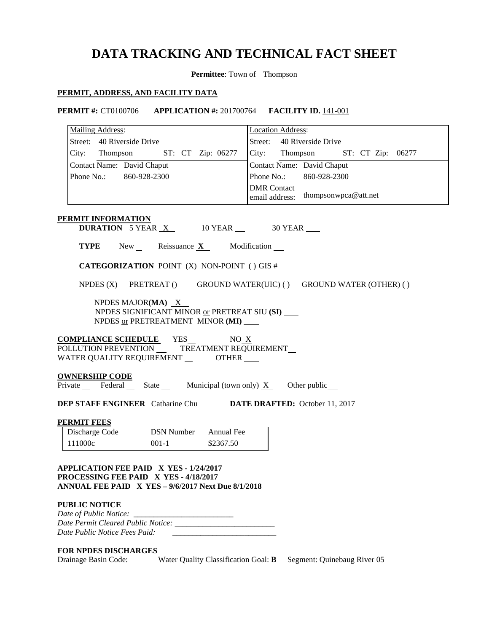# **DATA TRACKING AND TECHNICAL FACT SHEET**

**Permittee**: Town of Thompson

06277

### **PERMIT, ADDRESS, AND FACILITY DATA**

| <b>PERMIT #: CT0100706 APPLICATION #: 201700764 FACILITY ID. 141-001</b>                                                                                                             |                                                                    |  |  |  |
|--------------------------------------------------------------------------------------------------------------------------------------------------------------------------------------|--------------------------------------------------------------------|--|--|--|
| <b>Mailing Address:</b>                                                                                                                                                              | <b>Location Address:</b>                                           |  |  |  |
| Street: 40 Riverside Drive                                                                                                                                                           | Street: 40 Riverside Drive                                         |  |  |  |
| City: Thompson ST: CT Zip: 06277                                                                                                                                                     | City: Thompson ST: CT Zip: 0627                                    |  |  |  |
| Contact Name: David Chaput                                                                                                                                                           | Contact Name: David Chaput                                         |  |  |  |
| Phone No.: 860-928-2300                                                                                                                                                              | Phone No.: 860-928-2300                                            |  |  |  |
|                                                                                                                                                                                      | <b>DMR</b> Contact<br>thompsonwpca@att.net<br>email address:       |  |  |  |
| PERMIT INFORMATION<br><b>DURATION</b> 5 YEAR $X$ 10 YEAR 30 YEAR<br><b>TYPE</b> New Reissuance $X$ Modification $\blacksquare$<br><b>CATEGORIZATION POINT (X) NON-POINT () GIS #</b> |                                                                    |  |  |  |
|                                                                                                                                                                                      |                                                                    |  |  |  |
|                                                                                                                                                                                      | NPDES (X) PRETREAT () GROUND WATER(UIC) () GROUND WATER (OTHER) () |  |  |  |

NPDES MAJOR**(MA)** X NPDES SIGNIFICANT MINOR or PRETREAT SIU **(SI)**  NPDES or PRETREATMENT MINOR **(MI)** 

l  WATER QUALITY REQUIREMENT \_\_\_\_\_\_\_\_\_OTHER **COMPLIANCE SCHEDULE** YES NO X POLLUTION PREVENTION \_\_\_\_\_\_TREATMENT REQUIREMENT

### **OWNERSHIP CODE**

Private Federal State Municipal (town only)  $X$  Other public

**DEP STAFF ENGINEER** Catharine Chu **DATE DRAFTED:** October 11, 2017

### **PERMIT FEES**

| Discharge Code | <b>DSN</b> Number | Annual Fee |
|----------------|-------------------|------------|
| 111000c        | $001 - 1$         | \$2367.50  |

 **APPLICATION FEE PAID X YES - 1/24/2017 PROCESSING FEE PAID X YES - 4/18/2017 ANNUAL FEE PAID X YES – 9/6/2017 Next Due 8/1/2018** 

### **PUBLIC NOTICE**

| Date of Public Notice:             |  |
|------------------------------------|--|
| Date Permit Cleared Public Notice: |  |
| Date Public Notice Fees Paid:      |  |

### **FOR NPDES DISCHARGES**

Drainage Basin Code: Water Quality Classification Goal: **B** Segment: Quinebaug River 05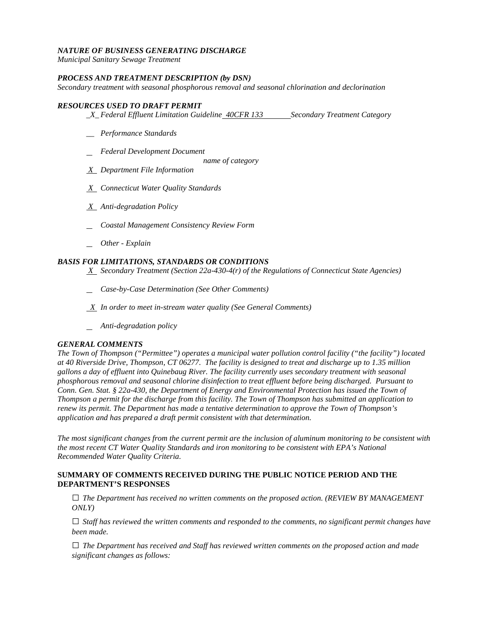### *NATURE OF BUSINESS GENERATING DISCHARGE*

*Municipal Sanitary Sewage Treatment* 

### *PROCESS AND TREATMENT DESCRIPTION (by DSN)*

*Secondary treatment with seasonal phosphorous removal and seasonal chlorination and declorination* 

### *RESOURCES USED TO DRAFT PERMIT*

- *\_X\_Federal Effluent Limitation Guideline <del>40CFR 133</del> Secondary Treatment Category*
- *\_\_ Performance Standards*
- *Federal Development Document* 
	- *name of category*
- *X Department File Information*
- *X Connecticut Water Quality Standards*
- *X Anti-degradation Policy*
- *Coastal Management Consistency Review Form*
- *Other - Explain*

### *BASIS FOR LIMITATIONS, STANDARDS OR CONDITIONS*

- *X Secondary Treatment (Section 22a-430-4(r) of the Regulations of Connecticut State Agencies)*
- *Case-by-Case Determination (See Other Comments)*
- *X In order to meet in-stream water quality (See General Comments)*
- *Anti-degradation policy*

### *GENERAL COMMENTS*

 *at 40 Riverside Drive, Thompson, CT 06277. The facility is designed to treat and discharge up to 1.35 million Conn. Gen. Stat. § 22a-430, the Department of Energy and Environmental Protection has issued the Town of renew its permit. The Department has made a tentative determination to approve the Town of Thompson's*  application and has prepared a draft permit consistent with that determination. *The Town of Thompson ("Permittee") operates a municipal water pollution control facility ("the facility") located gallons a day of effluent into Quinebaug River. The facility currently uses secondary treatment with seasonal phosphorous removal and seasonal chlorine disinfection to treat effluent before being discharged. Pursuant to Thompson a permit for the discharge from this facility. The Town of Thompson has submitted an application to* 

 *Recommended Water Quality Criteria.* The most significant changes from the current permit are the inclusion of aluminum monitoring to be consistent with *the most recent CT Water Quality Standards and iron monitoring to be consistent with EPA's National* 

### **SUMMARY OF COMMENTS RECEIVED DURING THE PUBLIC NOTICE PERIOD AND THE DEPARTMENT'S RESPONSES**

**□** *The Department has received no written comments on the proposed action. (REVIEW BY MANAGEMENT ONLY)* 

 *been made.* **□** *Staff has reviewed the written comments and responded to the comments, no significant permit changes have* 

**□** *The Department has received and Staff has reviewed written comments on the proposed action and made significant changes as follows:*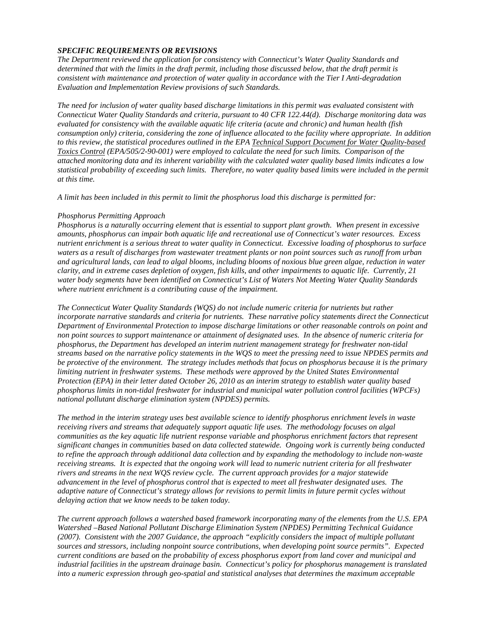### *SPECIFIC REQUIREMENTS OR REVISIONS*

*The Department reviewed the application for consistency with Connecticut's Water Quality Standards and determined that with the limits in the draft permit, including those discussed below, that the draft permit is consistent with maintenance and protection of water quality in accordance with the Tier I Anti-degradation Evaluation and Implementation Review provisions of such Standards.* 

 *Connecticut Water Quality Standards and criteria, pursuant to 40 CFR 122.44(d). Discharge monitoring data was consumption only) criteria, considering the zone of influence allocated to the facility where appropriate. In addition to this review, the statistical procedures outlined in the EPA Technical Support Document for Water Quality-based The need for inclusion of water quality based discharge limitations in this permit was evaluated consistent with evaluated for consistency with the available aquatic life criteria (acute and chronic) and human health (fish Toxics Control (EPA/505/2-90-001) were employed to calculate the need for such limits. Comparison of the attached monitoring data and its inherent variability with the calculated water quality based limits indicates a low statistical probability of exceeding such limits. Therefore, no water quality based limits were included in the permit at this time.* 

*A limit has been included in this permit to limit the phosphorus load this discharge is permitted for:* 

### *Phosphorus Permitting Approach*

*Phosphorus is a naturally occurring element that is essential to support plant growth. When present in excessive amounts, phosphorus can impair both aquatic life and recreational use of Connecticut's water resources. Excess nutrient enrichment is a serious threat to water quality in Connecticut. Excessive loading of phosphorus to surface waters as a result of discharges from wastewater treatment plants or non point sources such as runoff from urban and agricultural lands, can lead to algal blooms, including blooms of noxious blue green algae, reduction in water clarity, and in extreme cases depletion of oxygen, fish kills, and other impairments to aquatic life. Currently, 21 water body segments have been identified on Connecticut's List of Waters Not Meeting Water Quality Standards where nutrient enrichment is a contributing cause of the impairment.* 

 *phosphorus limits in non-tidal freshwater for industrial and municipal water pollution control facilities (WPCFs) The Connecticut Water Quality Standards (WQS) do not include numeric criteria for nutrients but rather incorporate narrative standards and criteria for nutrients. These narrative policy statements direct the Connecticut Department of Environmental Protection to impose discharge limitations or other reasonable controls on point and non point sources to support maintenance or attainment of designated uses. In the absence of numeric criteria for phosphorus, the Department has developed an interim nutrient management strategy for freshwater non-tidal streams based on the narrative policy statements in the WQS to meet the pressing need to issue NPDES permits and be protective of the environment. The strategy includes methods that focus on phosphorus because it is the primary limiting nutrient in freshwater systems. These methods were approved by the United States Environmental Protection (EPA) in their letter dated October 26, 2010 as an interim strategy to establish water quality based national pollutant discharge elimination system (NPDES) permits.* 

*The method in the interim strategy uses best available science to identify phosphorus enrichment levels in waste receiving rivers and streams that adequately support aquatic life uses. The methodology focuses on algal communities as the key aquatic life nutrient response variable and phosphorus enrichment factors that represent significant changes in communities based on data collected statewide. Ongoing work is currently being conducted to refine the approach through additional data collection and by expanding the methodology to include non-waste receiving streams. It is expected that the ongoing work will lead to numeric nutrient criteria for all freshwater rivers and streams in the next WQS review cycle. The current approach provides for a major statewide advancement in the level of phosphorus control that is expected to meet all freshwater designated uses. The adaptive nature of Connecticut's strategy allows for revisions to permit limits in future permit cycles without delaying action that we know needs to be taken today.* 

*The current approach follows a watershed based framework incorporating many of the elements from the U.S. EPA Watershed –Based National Pollutant Discharge Elimination System (NPDES) Permitting Technical Guidance (2007). Consistent with the 2007 Guidance, the approach "explicitly considers the impact of multiple pollutant sources and stressors, including nonpoint source contributions, when developing point source permits". Expected current conditions are based on the probability of excess phosphorus export from land cover and municipal and industrial facilities in the upstream drainage basin. Connecticut's policy for phosphorus management is translated into a numeric expression through geo-spatial and statistical analyses that determines the maximum acceptable*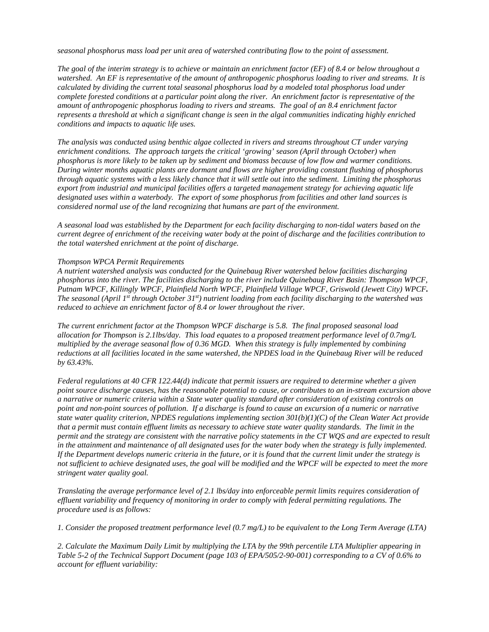*seasonal phosphorus mass load per unit area of watershed contributing flow to the point of assessment.* 

*conditions and impacts to aquatic life uses. The goal of the interim strategy is to achieve or maintain an enrichment factor (EF) of 8.4 or below throughout a watershed. An EF is representative of the amount of anthropogenic phosphorus loading to river and streams. It is calculated by dividing the current total seasonal phosphorus load by a modeled total phosphorus load under complete forested conditions at a particular point along the river. An enrichment factor is representative of the amount of anthropogenic phosphorus loading to rivers and streams. The goal of an 8.4 enrichment factor represents a threshold at which a significant change is seen in the algal communities indicating highly enriched* 

 *phosphorus is more likely to be taken up by sediment and biomass because of low flow and warmer conditions. considered normal use of the land recognizing that humans are part of the environment. conditions and impacts to aquatic life uses. The analysis was conducted using benthic algae collected in rivers and streams throughout CT under varying enrichment conditions. The approach targets the critical 'growing' season (April through October) when During winter months aquatic plants are dormant and flows are higher providing constant flushing of phosphorus through aquatic systems with a less likely chance that it will settle out into the sediment. Limiting the phosphorus export from industrial and municipal facilities offers a targeted management strategy for achieving aquatic life designated uses within a waterbody. The export of some phosphorus from facilities and other land sources is* 

 *current degree of enrichment of the receiving water body at the point of discharge and the facilities contribution to the total watershed enrichment at the point of discharge. Thompson WPCA Permit Requirements A seasonal load was established by the Department for each facility discharging to non-tidal waters based on the* 

*A nutrient watershed analysis was conducted for the Quinebaug River watershed below facilities discharging phosphorus into the river. The facilities discharging to the river include Quinebaug River Basin: Thompson WPCF, Putnam WPCF, Killingly WPCF, Plainfield North WPCF, Plainfield Village WPCF, Griswold (Jewett City) WPCF. The seasonal (April 1st through October 31st) nutrient loading from each facility discharging to the watershed was reduced to achieve an enrichment factor of 8.4 or lower throughout the river.* 

 *multiplied by the average seasonal flow of 0.36 MGD. When this strategy is fully implemented by combining The current enrichment factor at the Thompson WPCF discharge is 5.8. The final proposed seasonal load allocation for Thompson is 2.1lbs/day. This load equates to a proposed treatment performance level of 0.7mg/L reductions at all facilities located in the same watershed, the NPDES load in the Quinebaug River will be reduced by 63.43%.* 

in the attainment and maintenance of all designated uses for the water body when the strategy is fully implemented. *stringent water quality goal. Federal regulations at 40 CFR 122.44(d) indicate that permit issuers are required to determine whether a given point source discharge causes, has the reasonable potential to cause, or contributes to an in-stream excursion above a narrative or numeric criteria within a State water quality standard after consideration of existing controls on point and non-point sources of pollution. If a discharge is found to cause an excursion of a numeric or narrative state water quality criterion, NPDES regulations implementing section 301(b)(1)(C) of the Clean Water Act provide that a permit must contain effluent limits as necessary to achieve state water quality standards. The limit in the permit and the strategy are consistent with the narrative policy statements in the CT WQS and are expected to result*  If the Department develops numeric criteria in the future, or it is found that the current limit under the strategy is not sufficient to achieve designated uses, the goal will be modified and the WPCF will be expected to meet the more

stringent water quality goal.<br>Translating the average performance level of 2.1 lbs/day into enforceable permit limits requires consideration of *effluent variability and frequency of monitoring in order to comply with federal permitting regulations. The procedure used is as follows:* 

*1. Consider the proposed treatment performance level (0.7 mg/L) to be equivalent to the Long Term Average (LTA)* 

*2. Calculate the Maximum Daily Limit by multiplying the LTA by the 99th percentile LTA Multiplier appearing in Table 5-2 of the Technical Support Document (page 103 of EPA/505/2-90-001) corresponding to a CV of 0.6% to account for effluent variability:*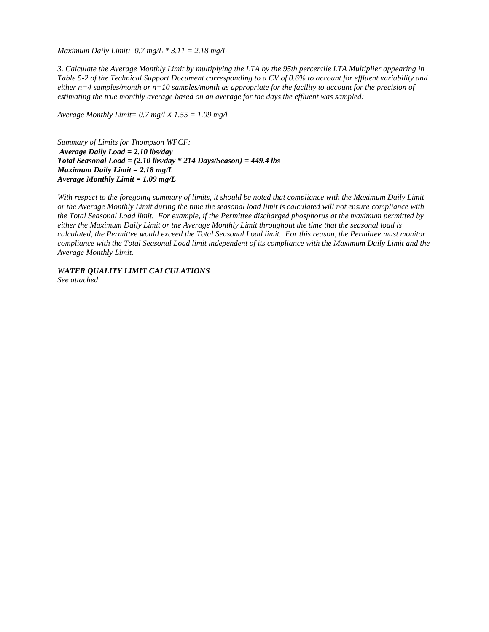*Maximum Daily Limit: 0.7 mg/L \* 3.11 = 2.18 mg/L* 

*3. Calculate the Average Monthly Limit by multiplying the LTA by the 95th percentile LTA Multiplier appearing in Table 5-2 of the Technical Support Document corresponding to a CV of 0.6% to account for effluent variability and either n=4 samples/month or n=10 samples/month as appropriate for the facility to account for the precision of estimating the true monthly average based on an average for the days the effluent was sampled:* 

 *Average Monthly Limit= 0.7 mg/l X 1.55 = 1.09 mg/l* 

*Average Daily Load = 2.10 lbs/day Maximum Daily Limit = 2.18 mg/L Average Monthly Limit = 1.09 mg/L Summary of Limits for Thompson WPCF: Total Seasonal Load = (2.10 lbs/day \* 214 Days/Season) = 449.4 lbs* 

With respect to the foregoing summary of limits, it should be noted that compliance with the Maximum Daily Limit *or the Average Monthly Limit during the time the seasonal load limit is calculated will not ensure compliance with the Total Seasonal Load limit. For example, if the Permittee discharged phosphorus at the maximum permitted by either the Maximum Daily Limit or the Average Monthly Limit throughout the time that the seasonal load is calculated, the Permittee would exceed the Total Seasonal Load limit. For this reason, the Permittee must monitor compliance with the Total Seasonal Load limit independent of its compliance with the Maximum Daily Limit and the Average Monthly Limit.* 

*WATER QUALITY LIMIT CALCULATIONS* 

*See attached*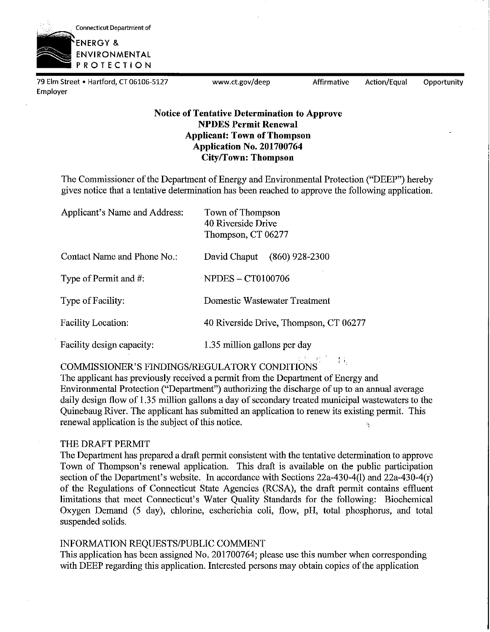

79 Elm Street • Hartford, CT 06106-5127 www.ct.gov/deep Affirmative Action/Equal Opportunity Employer

 $\mathcal{W}_{\mathcal{A}_1}$ 

I i.

### **Notice of Tentative Determination to Approve NPDES Permit Renewal Applicant: Town of Thompson Application No. 201700764 City/Town: Thompson**

The Commissioner of the Department of Energy and Environmental Protection ("DEEP") hereby gives notice that a tentative determination has been reached to approve the following application.

| Applicant's Name and Address: | Town of Thompson<br>40 Riverside Drive<br>Thompson, CT 06277 |
|-------------------------------|--------------------------------------------------------------|
| Contact Name and Phone No.:   | $(860)$ 928-2300<br>David Chaput                             |
| Type of Permit and #:         | <b>NPDES - CT0100706</b>                                     |
| Type of Facility:             | Domestic Wastewater Treatment                                |
| <b>Facility Location:</b>     | 40 Riverside Drive, Thompson, CT 06277                       |
| Facility design capacity:     | 1.35 million gallons per day                                 |

COMMISSIONER'S FINDINGS/REGULATORY CONDITIONS.

The applicant has previously received a permit from the Department of Energy and Environmental Protection ("Department") authorizing the discharge of up to an annual average daily design flow of 1.35 million gallons a day of secondary treated municipal wastewaters to the Quinebaug River. The applicant has submitted an application to renew its existing permit. This renewal application is the subject of this notice. Ń,

### THE DRAFT PERMIT

The Department has prepared a draft permit consistent with the tentative determination to approve Town of Thompson's renewal application. This draft is available on the public participation section of the Department's website. In accordance with Sections 22a-430-4(1) and 22a-430-4(r) of the Regulations of Connecticut State Agencies (RCSA), the draft permit contains effluent limitations that meet Connecticut's Water Quality Standards for the following: Biochemical Oxygen Demand (5 day), chlorine, escherichia coli, flow, pH, total phosphorus, and total suspended solids.

### INFORMATION REQUESTS/PUBLIC COMMENT

This application has been assigned No. 201700764; please use this number when corresponding with DEEP regarding this application. Interested persons may obtain copies of the application